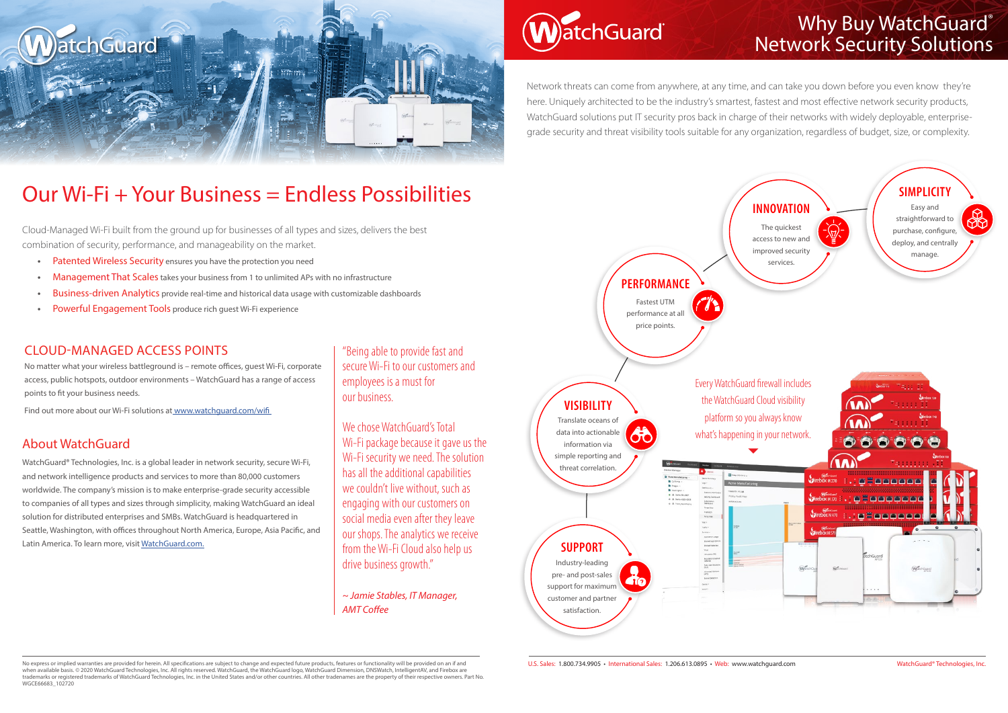

# **atchGuard**

### CLOUD-MANAGED ACCESS POINTS

No matter what your wireless battleground is – remote offices, guest Wi-Fi, corporate access, public hotspots, outdoor environments – WatchGuard has a range of access points to fit your business needs.

Find out more about our Wi-Fi solutions at www.watchguard.com/wifi

### About WatchGuard

WatchGuard® Technologies, Inc. is a global leader in network security, secure Wi-Fi, and network intelligence products and services to more than 80,000 customers worldwide. The company's mission is to make enterprise-grade security accessible to companies of all types and sizes through simplicity, making WatchGuard an ideal solution for distributed enterprises and SMBs. WatchGuard is headquartered in Seattle, Washington, with offices throughout North America, Europe, Asia Pacific, and Latin America. To learn more, visit WatchGuard.com.

We chose WatchGuard's Total Wi-Fi package because it gave us the Wi-Fi security we need. The solution has all the additional capabilities we couldn't live without, such as engaging with our customers on social media even after they leave our shops. The analytics we receive from the Wi-Fi Cloud also help us drive business growth."

### Our Wi-Fi + Your Business = Endless Possibilities

## Why Buy WatchGuard® Network Security Solutions

Cloud-Managed Wi-Fi built from the ground up for businesses of all types and sizes, delivers the best combination of security, performance, and manageability on the market.

- **•** Patented Wireless Security ensures you have the protection you need
- **•** Management That Scales takes your business from 1 to unlimited APs with no infrastructure
- **•** Business-driven Analytics provide real-time and historical data usage with customizable dashboards
- **•** Powerful Engagement Tools produce rich guest Wi-Fi experience



No express or implied warranties are provided for herein. All specifications are subject to change and expected future products, features or functionality will be provided on an if and when available basis. © 2020 WatchGuard Technologies, Inc. All rights reserved. WatchGuard, the WatchGuard logo, WatchGuard Dimension, DNSWatch, IntelligentAV, and Firebox are trademarks or registered trademarks of WatchGuard Technologies, Inc. in the United States and/or other countries. All other tradenames are the property of their respective owners. Part No. WGCE66683\_102720

"Being able to provide fast and secure Wi-Fi to our customers and employees is a must for our business.

*~ Jamie Stables, IT Manager, AMT Coffee* 

Network threats can come from anywhere, at any time, and can take you down before you even know they're here. Uniquely architected to be the industry's smartest, fastest and most effective network security products, WatchGuard solutions put IT security pros back in charge of their networks with widely deployable, enterprisegrade security and threat visibility tools suitable for any organization, regardless of budget, size, or complexity.

U.S. Sales: 1.800.734.9905 • International Sales: 1.206.613.0895 • Web: www.watchguard.com WatchGuard® Technologies, Inc.